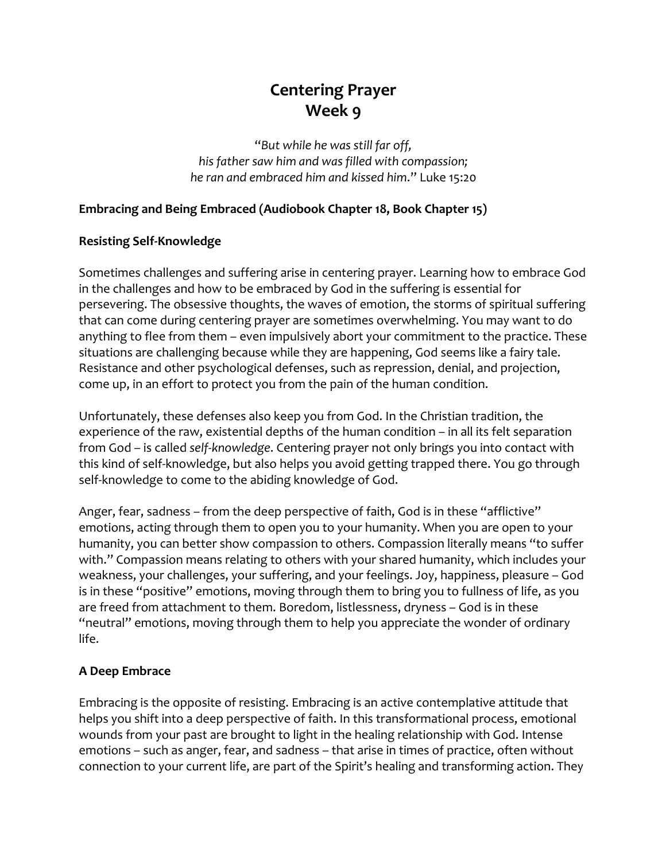# **Centering Prayer Week 9**

"*But while he was still far off, his father saw him and was filled with compassion; he ran and embraced him and kissed him*." Luke 15:20

## **Embracing and Being Embraced (Audiobook Chapter 18, Book Chapter 15)**

# **Resisting Self-Knowledge**

Sometimes challenges and suffering arise in centering prayer. Learning how to embrace God in the challenges and how to be embraced by God in the suffering is essential for persevering. The obsessive thoughts, the waves of emotion, the storms of spiritual suffering that can come during centering prayer are sometimes overwhelming. You may want to do anything to flee from them – even impulsively abort your commitment to the practice. These situations are challenging because while they are happening, God seems like a fairy tale. Resistance and other psychological defenses, such as repression, denial, and projection, come up, in an effort to protect you from the pain of the human condition.

Unfortunately, these defenses also keep you from God. In the Christian tradition, the experience of the raw, existential depths of the human condition – in all its felt separation from God – is called *self-knowledge*. Centering prayer not only brings you into contact with this kind of self-knowledge, but also helps you avoid getting trapped there. You go through self-knowledge to come to the abiding knowledge of God.

Anger, fear, sadness – from the deep perspective of faith, God is in these "afflictive" emotions, acting through them to open you to your humanity. When you are open to your humanity, you can better show compassion to others. Compassion literally means "to suffer with." Compassion means relating to others with your shared humanity, which includes your weakness, your challenges, your suffering, and your feelings. Joy, happiness, pleasure – God is in these "positive" emotions, moving through them to bring you to fullness of life, as you are freed from attachment to them. Boredom, listlessness, dryness – God is in these "neutral" emotions, moving through them to help you appreciate the wonder of ordinary life.

#### **A Deep Embrace**

Embracing is the opposite of resisting. Embracing is an active contemplative attitude that helps you shift into a deep perspective of faith. In this transformational process, emotional wounds from your past are brought to light in the healing relationship with God. Intense emotions – such as anger, fear, and sadness – that arise in times of practice, often without connection to your current life, are part of the Spirit's healing and transforming action. They